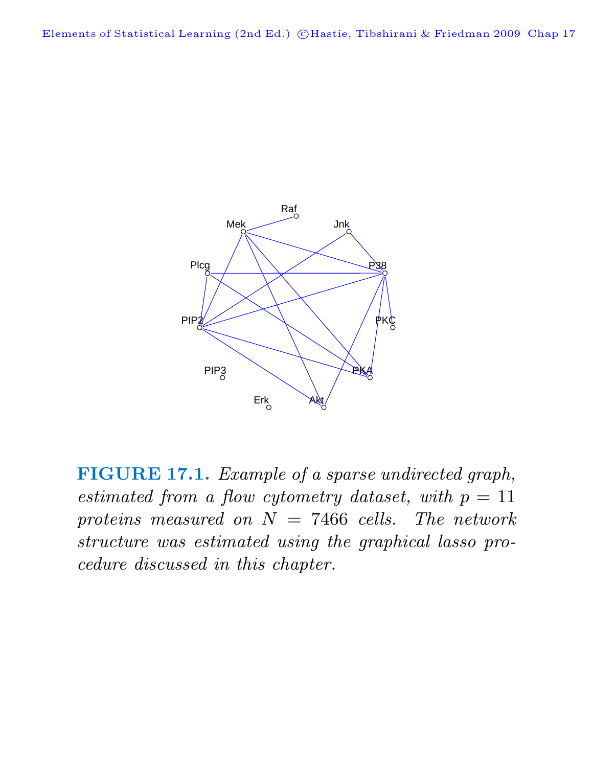

**FIGURE 17.1.** Example of a sparse undirected graph, estimated from a flow cytometry dataset, with  $p = 11$ proteins measured on  $N = 7466$  cells. The network structure was estimated using the graphical lasso procedure discussed in this chapter.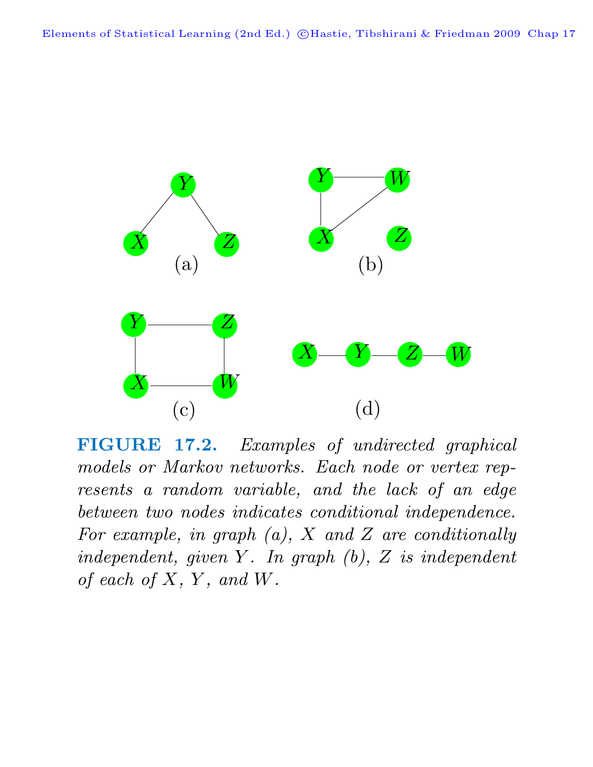

**FIGURE 17.2.** Examples of undirected graphical models or Markov networks. Each node or vertex represents a random variable, and the lack of an edge between two nodes indicates conditional independence. For example, in graph  $(a)$ ,  $X$  and  $Z$  are conditionally independent, given  $Y$ . In graph  $(b)$ ,  $Z$  is independent of each of  $X, Y,$  and  $W$ .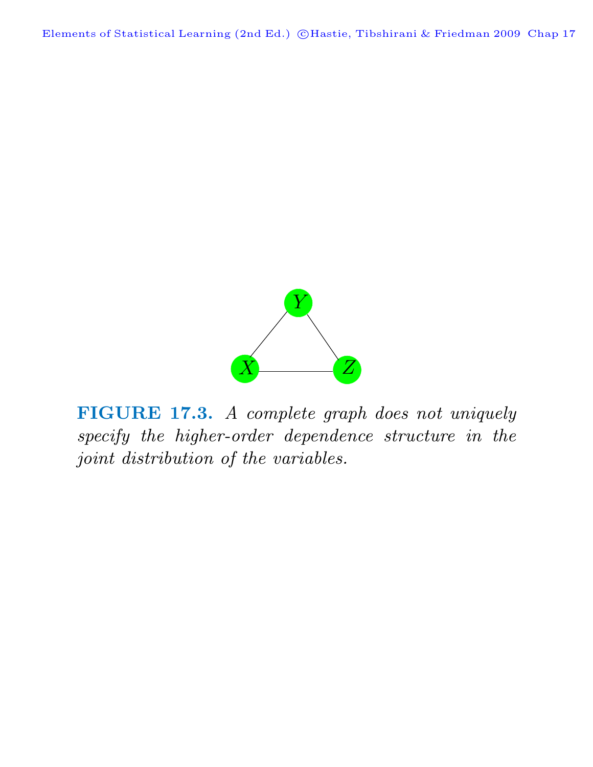

**FIGURE 17.3.** A complete graph does not uniquely specify the higher-order dependence structure in the joint distribution of the variables.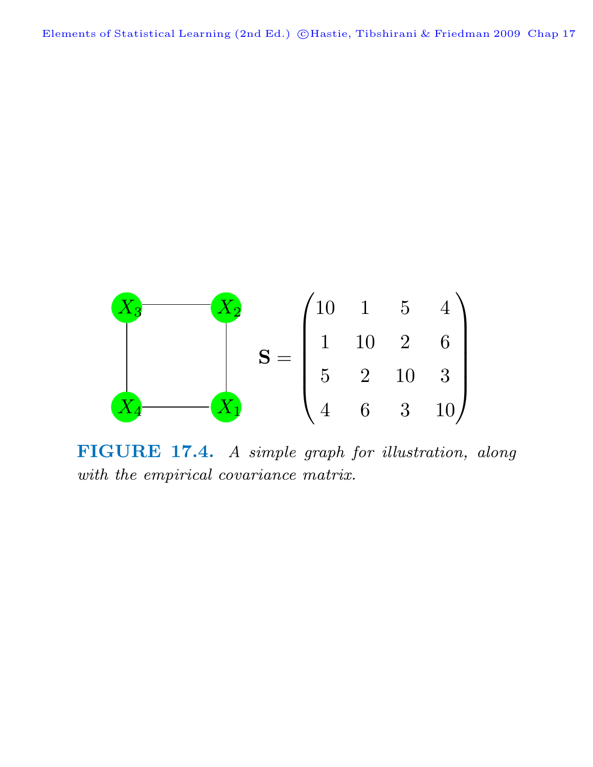

**FIGURE 17.4.** A simple graph for illustration, along with the empirical covariance matrix.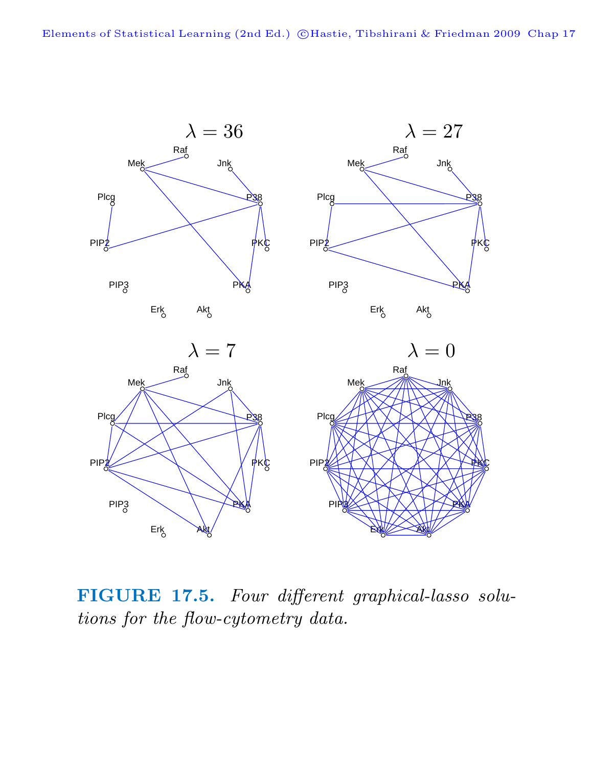

**FIGURE 17.5.** Four different graphical-lasso solutions for the flow-cytometry data.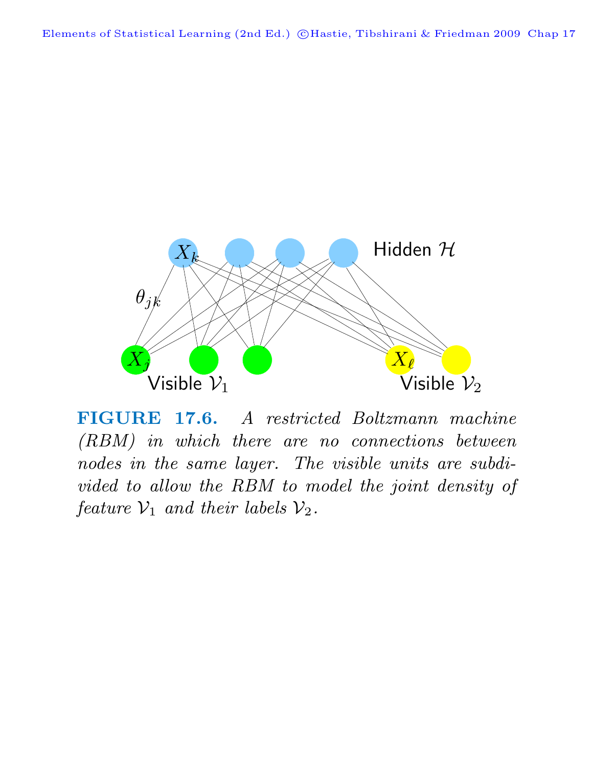

**FIGURE 17.6.** A restricted Boltzmann machine (RBM) in which there are no connections between nodes in the same layer. The visible units are subdivided to allow the RBM to model the joint density of feature  $\mathcal{V}_1$  and their labels  $\mathcal{V}_2$ .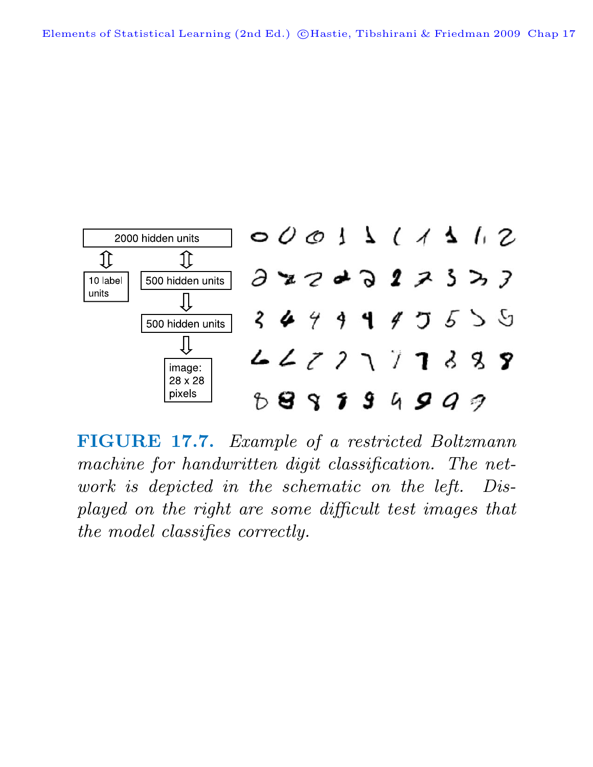

**FIGURE 17.7.** Example of a restricted Boltzmann machine for handwritten digit classification. The network is depicted in the schematic on the left. Displayed on the right are some difficult test images that the model classifies correctly.